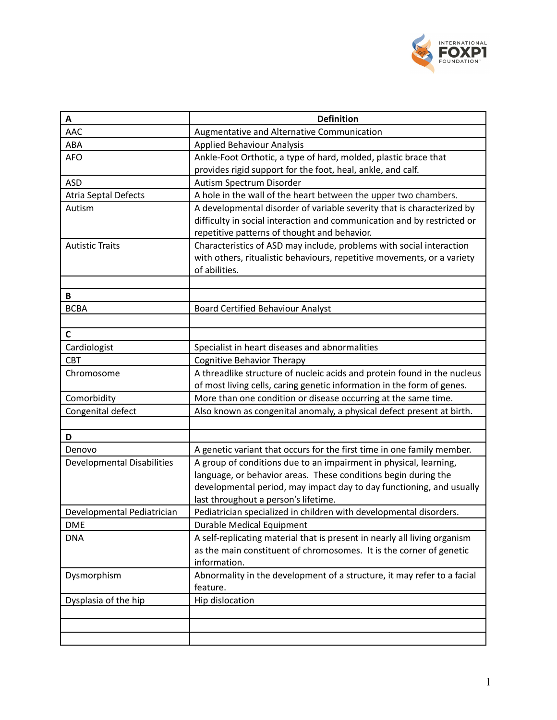

| Α                                 | <b>Definition</b>                                                                                                                                 |
|-----------------------------------|---------------------------------------------------------------------------------------------------------------------------------------------------|
| <b>AAC</b>                        | Augmentative and Alternative Communication                                                                                                        |
| ABA                               | <b>Applied Behaviour Analysis</b>                                                                                                                 |
| <b>AFO</b>                        | Ankle-Foot Orthotic, a type of hard, molded, plastic brace that                                                                                   |
|                                   | provides rigid support for the foot, heal, ankle, and calf.                                                                                       |
| <b>ASD</b>                        | Autism Spectrum Disorder                                                                                                                          |
| <b>Atria Septal Defects</b>       | A hole in the wall of the heart between the upper two chambers.                                                                                   |
| Autism                            | A developmental disorder of variable severity that is characterized by<br>difficulty in social interaction and communication and by restricted or |
|                                   | repetitive patterns of thought and behavior.                                                                                                      |
| <b>Autistic Traits</b>            | Characteristics of ASD may include, problems with social interaction                                                                              |
|                                   | with others, ritualistic behaviours, repetitive movements, or a variety<br>of abilities.                                                          |
|                                   |                                                                                                                                                   |
| B                                 |                                                                                                                                                   |
| <b>BCBA</b>                       | <b>Board Certified Behaviour Analyst</b>                                                                                                          |
|                                   |                                                                                                                                                   |
| C                                 |                                                                                                                                                   |
| Cardiologist                      | Specialist in heart diseases and abnormalities                                                                                                    |
| <b>CBT</b>                        | <b>Cognitive Behavior Therapy</b>                                                                                                                 |
| Chromosome                        | A threadlike structure of nucleic acids and protein found in the nucleus                                                                          |
|                                   | of most living cells, caring genetic information in the form of genes.                                                                            |
| Comorbidity                       | More than one condition or disease occurring at the same time.                                                                                    |
| Congenital defect                 | Also known as congenital anomaly, a physical defect present at birth.                                                                             |
|                                   |                                                                                                                                                   |
| D                                 |                                                                                                                                                   |
| Denovo                            | A genetic variant that occurs for the first time in one family member.                                                                            |
| <b>Developmental Disabilities</b> | A group of conditions due to an impairment in physical, learning,                                                                                 |
|                                   | language, or behavior areas. These conditions begin during the                                                                                    |
|                                   | developmental period, may impact day to day functioning, and usually<br>last throughout a person's lifetime.                                      |
| Developmental Pediatrician        | Pediatrician specialized in children with developmental disorders.                                                                                |
| <b>DME</b>                        | <b>Durable Medical Equipment</b>                                                                                                                  |
| <b>DNA</b>                        | A self-replicating material that is present in nearly all living organism                                                                         |
|                                   | as the main constituent of chromosomes. It is the corner of genetic                                                                               |
|                                   | information.                                                                                                                                      |
| Dysmorphism                       | Abnormality in the development of a structure, it may refer to a facial                                                                           |
|                                   | feature.                                                                                                                                          |
| Dysplasia of the hip              | Hip dislocation                                                                                                                                   |
|                                   |                                                                                                                                                   |
|                                   |                                                                                                                                                   |
|                                   |                                                                                                                                                   |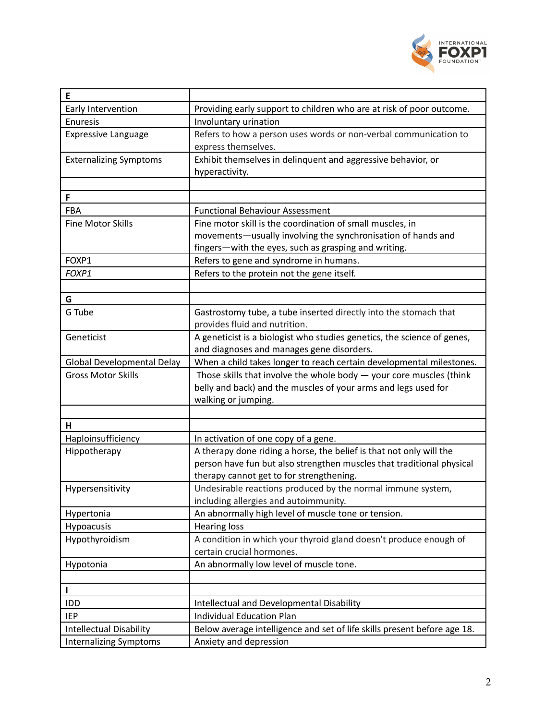

| E                              |                                                                                                                   |
|--------------------------------|-------------------------------------------------------------------------------------------------------------------|
| Early Intervention             | Providing early support to children who are at risk of poor outcome.                                              |
| <b>Enuresis</b>                | Involuntary urination                                                                                             |
| <b>Expressive Language</b>     | Refers to how a person uses words or non-verbal communication to                                                  |
|                                | express themselves.                                                                                               |
| <b>Externalizing Symptoms</b>  | Exhibit themselves in delinquent and aggressive behavior, or                                                      |
|                                | hyperactivity.                                                                                                    |
|                                |                                                                                                                   |
| F                              |                                                                                                                   |
| FBA                            | <b>Functional Behaviour Assessment</b>                                                                            |
| <b>Fine Motor Skills</b>       | Fine motor skill is the coordination of small muscles, in                                                         |
|                                | movements-usually involving the synchronisation of hands and                                                      |
|                                | fingers-with the eyes, such as grasping and writing.                                                              |
| FOXP1                          | Refers to gene and syndrome in humans.                                                                            |
| FOXP1                          | Refers to the protein not the gene itself.                                                                        |
|                                |                                                                                                                   |
| G                              |                                                                                                                   |
| G Tube                         | Gastrostomy tube, a tube inserted directly into the stomach that                                                  |
|                                | provides fluid and nutrition.                                                                                     |
| Geneticist                     | A geneticist is a biologist who studies genetics, the science of genes,                                           |
| Global Developmental Delay     | and diagnoses and manages gene disorders.<br>When a child takes longer to reach certain developmental milestones. |
| <b>Gross Motor Skills</b>      | Those skills that involve the whole body $-$ your core muscles (think                                             |
|                                | belly and back) and the muscles of your arms and legs used for                                                    |
|                                | walking or jumping.                                                                                               |
|                                |                                                                                                                   |
| H                              |                                                                                                                   |
| Haploinsufficiency             | In activation of one copy of a gene.                                                                              |
| Hippotherapy                   | A therapy done riding a horse, the belief is that not only will the                                               |
|                                | person have fun but also strengthen muscles that traditional physical                                             |
|                                | therapy cannot get to for strengthening.                                                                          |
| Hypersensitivity               | Undesirable reactions produced by the normal immune system,                                                       |
|                                | including allergies and autoimmunity.                                                                             |
| Hypertonia                     | An abnormally high level of muscle tone or tension.                                                               |
| Hypoacusis                     | <b>Hearing loss</b>                                                                                               |
| Hypothyroidism                 | A condition in which your thyroid gland doesn't produce enough of                                                 |
|                                | certain crucial hormones.                                                                                         |
| Hypotonia                      | An abnormally low level of muscle tone.                                                                           |
|                                |                                                                                                                   |
| $\mathbf{I}$                   |                                                                                                                   |
| IDD                            | <b>Intellectual and Developmental Disability</b>                                                                  |
| <b>IEP</b>                     | <b>Individual Education Plan</b>                                                                                  |
| <b>Intellectual Disability</b> | Below average intelligence and set of life skills present before age 18.                                          |
| <b>Internalizing Symptoms</b>  | Anxiety and depression                                                                                            |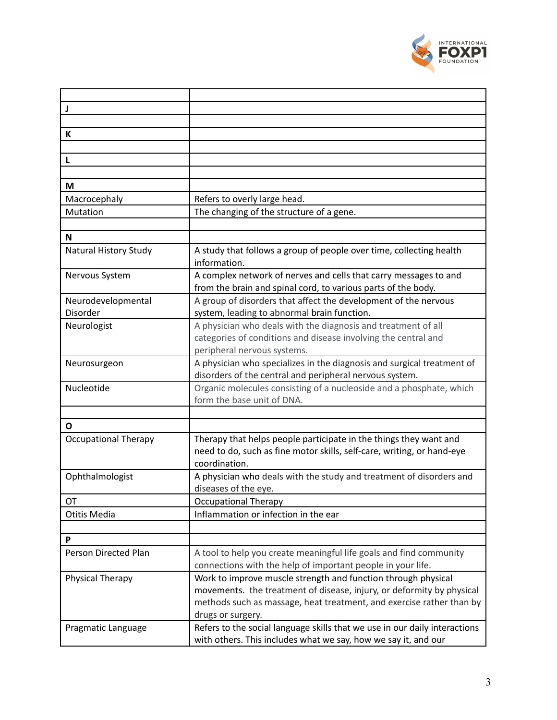

| J                              |                                                                                                                                                                                                                                     |
|--------------------------------|-------------------------------------------------------------------------------------------------------------------------------------------------------------------------------------------------------------------------------------|
|                                |                                                                                                                                                                                                                                     |
| К                              |                                                                                                                                                                                                                                     |
|                                |                                                                                                                                                                                                                                     |
| L                              |                                                                                                                                                                                                                                     |
|                                |                                                                                                                                                                                                                                     |
| M                              |                                                                                                                                                                                                                                     |
| Macrocephaly                   | Refers to overly large head.                                                                                                                                                                                                        |
| Mutation                       | The changing of the structure of a gene.                                                                                                                                                                                            |
|                                |                                                                                                                                                                                                                                     |
| N                              |                                                                                                                                                                                                                                     |
| Natural History Study          | A study that follows a group of people over time, collecting health<br>information.                                                                                                                                                 |
| Nervous System                 | A complex network of nerves and cells that carry messages to and<br>from the brain and spinal cord, to various parts of the body.                                                                                                   |
| Neurodevelopmental<br>Disorder | A group of disorders that affect the development of the nervous<br>system, leading to abnormal brain function.                                                                                                                      |
| Neurologist                    | A physician who deals with the diagnosis and treatment of all<br>categories of conditions and disease involving the central and<br>peripheral nervous systems.                                                                      |
| Neurosurgeon                   | A physician who specializes in the diagnosis and surgical treatment of<br>disorders of the central and peripheral nervous system.                                                                                                   |
| Nucleotide                     | Organic molecules consisting of a nucleoside and a phosphate, which<br>form the base unit of DNA.                                                                                                                                   |
|                                |                                                                                                                                                                                                                                     |
| O                              |                                                                                                                                                                                                                                     |
| <b>Occupational Therapy</b>    | Therapy that helps people participate in the things they want and<br>need to do, such as fine motor skills, self-care, writing, or hand-eye<br>coordination.                                                                        |
| Ophthalmologist                | A physician who deals with the study and treatment of disorders and<br>diseases of the eye.                                                                                                                                         |
| OT                             | <b>Occupational Therapy</b>                                                                                                                                                                                                         |
| Otitis Media                   | Inflammation or infection in the ear                                                                                                                                                                                                |
|                                |                                                                                                                                                                                                                                     |
| P                              |                                                                                                                                                                                                                                     |
| Person Directed Plan           | A tool to help you create meaningful life goals and find community<br>connections with the help of important people in your life.                                                                                                   |
| Physical Therapy               | Work to improve muscle strength and function through physical<br>movements. the treatment of disease, injury, or deformity by physical<br>methods such as massage, heat treatment, and exercise rather than by<br>drugs or surgery. |
| Pragmatic Language             | Refers to the social language skills that we use in our daily interactions<br>with others. This includes what we say, how we say it, and our                                                                                        |